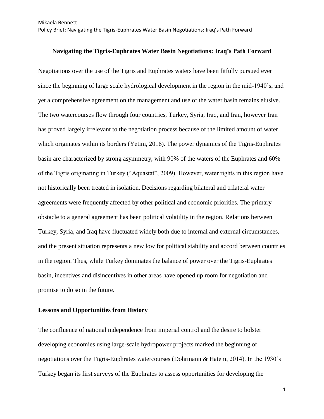Mikaela Bennett

Policy Brief: Navigating the Tigris-Euphrates Water Basin Negotiations: Iraq's Path Forward

## **Navigating the Tigris-Euphrates Water Basin Negotiations: Iraq's Path Forward**

Negotiations over the use of the Tigris and Euphrates waters have been fitfully pursued ever since the beginning of large scale hydrological development in the region in the mid-1940"s, and yet a comprehensive agreement on the management and use of the water basin remains elusive. The two watercourses flow through four countries, Turkey, Syria, Iraq, and Iran, however Iran has proved largely irrelevant to the negotiation process because of the limited amount of water which originates within its borders (Yetim, 2016). The power dynamics of the Tigris-Euphrates basin are characterized by strong asymmetry, with 90% of the waters of the Euphrates and 60% of the Tigris originating in Turkey ("Aquastat", 2009). However, water rights in this region have not historically been treated in isolation. Decisions regarding bilateral and trilateral water agreements were frequently affected by other political and economic priorities. The primary obstacle to a general agreement has been political volatility in the region. Relations between Turkey, Syria, and Iraq have fluctuated widely both due to internal and external circumstances, and the present situation represents a new low for political stability and accord between countries in the region. Thus, while Turkey dominates the balance of power over the Tigris-Euphrates basin, incentives and disincentives in other areas have opened up room for negotiation and promise to do so in the future.

## **Lessons and Opportunities from History**

The confluence of national independence from imperial control and the desire to bolster developing economies using large-scale hydropower projects marked the beginning of negotiations over the Tigris-Euphrates watercourses (Dohrmann & Hatem, 2014). In the 1930"s Turkey began its first surveys of the Euphrates to assess opportunities for developing the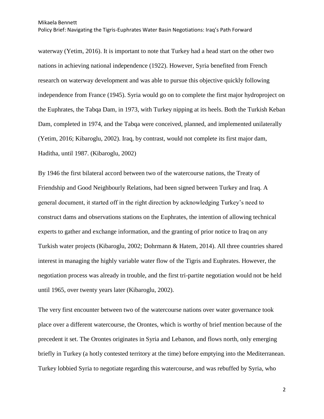waterway (Yetim, 2016). It is important to note that Turkey had a head start on the other two nations in achieving national independence (1922). However, Syria benefited from French research on waterway development and was able to pursue this objective quickly following independence from France (1945). Syria would go on to complete the first major hydroproject on the Euphrates, the Tabqa Dam, in 1973, with Turkey nipping at its heels. Both the Turkish Keban Dam, completed in 1974, and the Tabqa were conceived, planned, and implemented unilaterally (Yetim, 2016; Kibaroglu, 2002). Iraq, by contrast, would not complete its first major dam, Haditha, until 1987. (Kibaroglu, 2002)

By 1946 the first bilateral accord between two of the watercourse nations, the Treaty of Friendship and Good Neighbourly Relations, had been signed between Turkey and Iraq. A general document, it started off in the right direction by acknowledging Turkey"s need to construct dams and observations stations on the Euphrates, the intention of allowing technical experts to gather and exchange information, and the granting of prior notice to Iraq on any Turkish water projects (Kibaroglu, 2002; Dohrmann & Hatem, 2014). All three countries shared interest in managing the highly variable water flow of the Tigris and Euphrates. However, the negotiation process was already in trouble, and the first tri-partite negotiation would not be held until 1965, over twenty years later (Kibaroglu, 2002).

The very first encounter between two of the watercourse nations over water governance took place over a different watercourse, the Orontes, which is worthy of brief mention because of the precedent it set. The Orontes originates in Syria and Lebanon, and flows north, only emerging briefly in Turkey (a hotly contested territory at the time) before emptying into the Mediterranean. Turkey lobbied Syria to negotiate regarding this watercourse, and was rebuffed by Syria, who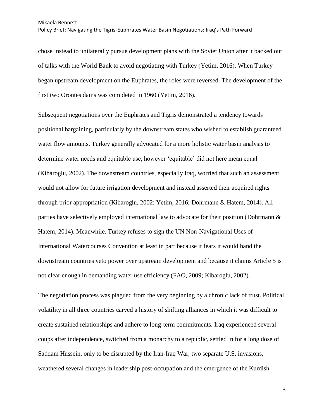chose instead to unilaterally pursue development plans with the Soviet Union after it backed out of talks with the World Bank to avoid negotiating with Turkey (Yetim, 2016). When Turkey began upstream development on the Euphrates, the roles were reversed. The development of the first two Orontes dams was completed in 1960 (Yetim, 2016).

Subsequent negotiations over the Euphrates and Tigris demonstrated a tendency towards positional bargaining, particularly by the downstream states who wished to establish guaranteed water flow amounts. Turkey generally advocated for a more holistic water basin analysis to determine water needs and equitable use, however "equitable" did not here mean equal (Kibaroglu, 2002). The downstream countries, especially Iraq, worried that such an assessment would not allow for future irrigation development and instead asserted their acquired rights through prior appropriation (Kibaroglu, 2002; Yetim, 2016; Dohrmann & Hatem, 2014). All parties have selectively employed international law to advocate for their position (Dohrmann & Hatem, 2014). Meanwhile, Turkey refuses to sign the UN Non-Navigational Uses of International Watercourses Convention at least in part because it fears it would hand the downstream countries veto power over upstream development and because it claims Article 5 is not clear enough in demanding water use efficiency (FAO, 2009; Kibaroglu, 2002).

The negotiation process was plagued from the very beginning by a chronic lack of trust. Political volatility in all three countries carved a history of shifting alliances in which it was difficult to create sustained relationships and adhere to long-term commitments. Iraq experienced several coups after independence, switched from a monarchy to a republic, settled in for a long dose of Saddam Hussein, only to be disrupted by the Iran-Iraq War, two separate U.S. invasions, weathered several changes in leadership post-occupation and the emergence of the Kurdish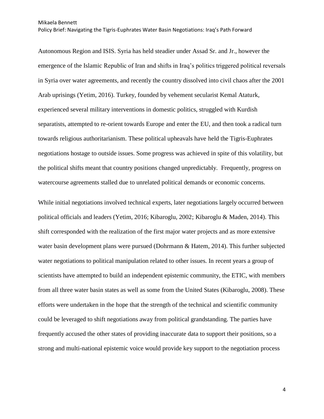Autonomous Region and ISIS. Syria has held steadier under Assad Sr. and Jr., however the emergence of the Islamic Republic of Iran and shifts in Iraq"s politics triggered political reversals in Syria over water agreements, and recently the country dissolved into civil chaos after the 2001 Arab uprisings (Yetim, 2016). Turkey, founded by vehement secularist Kemal Ataturk, experienced several military interventions in domestic politics, struggled with Kurdish separatists, attempted to re-orient towards Europe and enter the EU, and then took a radical turn towards religious authoritarianism. These political upheavals have held the Tigris-Euphrates negotiations hostage to outside issues. Some progress was achieved in spite of this volatility, but the political shifts meant that country positions changed unpredictably. Frequently, progress on watercourse agreements stalled due to unrelated political demands or economic concerns.

While initial negotiations involved technical experts, later negotiations largely occurred between political officials and leaders (Yetim, 2016; Kibaroglu, 2002; Kibaroglu & Maden, 2014). This shift corresponded with the realization of the first major water projects and as more extensive water basin development plans were pursued (Dohrmann & Hatem, 2014). This further subjected water negotiations to political manipulation related to other issues. In recent years a group of scientists have attempted to build an independent epistemic community, the ETIC, with members from all three water basin states as well as some from the United States (Kibaroglu, 2008). These efforts were undertaken in the hope that the strength of the technical and scientific community could be leveraged to shift negotiations away from political grandstanding. The parties have frequently accused the other states of providing inaccurate data to support their positions, so a strong and multi-national epistemic voice would provide key support to the negotiation process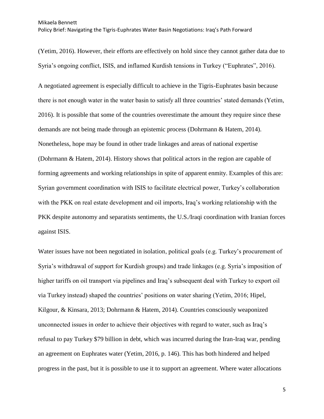(Yetim, 2016). However, their efforts are effectively on hold since they cannot gather data due to Syria"s ongoing conflict, ISIS, and inflamed Kurdish tensions in Turkey ("Euphrates", 2016).

A negotiated agreement is especially difficult to achieve in the Tigris-Euphrates basin because there is not enough water in the water basin to satisfy all three countries" stated demands (Yetim, 2016). It is possible that some of the countries overestimate the amount they require since these demands are not being made through an epistemic process (Dohrmann & Hatem, 2014). Nonetheless, hope may be found in other trade linkages and areas of national expertise (Dohrmann & Hatem, 2014). History shows that political actors in the region are capable of forming agreements and working relationships in spite of apparent enmity. Examples of this are: Syrian government coordination with ISIS to facilitate electrical power, Turkey"s collaboration with the PKK on real estate development and oil imports, Iraq"s working relationship with the PKK despite autonomy and separatists sentiments, the U.S./Iraqi coordination with Iranian forces against ISIS.

Water issues have not been negotiated in isolation, political goals (e.g. Turkey's procurement of Syria's withdrawal of support for Kurdish groups) and trade linkages (e.g. Syria's imposition of higher tariffs on oil transport via pipelines and Iraq's subsequent deal with Turkey to export oil via Turkey instead) shaped the countries" positions on water sharing (Yetim, 2016; Hipel, Kilgour, & Kinsara, 2013; Dohrmann & Hatem, 2014). Countries consciously weaponized unconnected issues in order to achieve their objectives with regard to water, such as Iraq"s refusal to pay Turkey \$79 billion in debt, which was incurred during the Iran-Iraq war, pending an agreement on Euphrates water (Yetim, 2016, p. 146). This has both hindered and helped progress in the past, but it is possible to use it to support an agreement. Where water allocations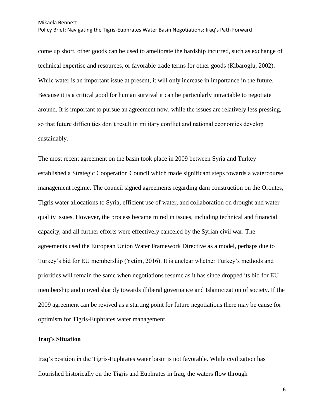come up short, other goods can be used to ameliorate the hardship incurred, such as exchange of technical expertise and resources, or favorable trade terms for other goods (Kibaroglu, 2002). While water is an important issue at present, it will only increase in importance in the future. Because it is a critical good for human survival it can be particularly intractable to negotiate around. It is important to pursue an agreement now, while the issues are relatively less pressing, so that future difficulties don"t result in military conflict and national economies develop sustainably.

The most recent agreement on the basin took place in 2009 between Syria and Turkey established a Strategic Cooperation Council which made significant steps towards a watercourse management regime. The council signed agreements regarding dam construction on the Orontes, Tigris water allocations to Syria, efficient use of water, and collaboration on drought and water quality issues. However, the process became mired in issues, including technical and financial capacity, and all further efforts were effectively canceled by the Syrian civil war. The agreements used the European Union Water Framework Directive as a model, perhaps due to Turkey"s bid for EU membership (Yetim, 2016). It is unclear whether Turkey"s methods and priorities will remain the same when negotiations resume as it has since dropped its bid for EU membership and moved sharply towards illiberal governance and Islamicization of society. If the 2009 agreement can be revived as a starting point for future negotiations there may be cause for optimism for Tigris-Euphrates water management.

# **Iraq's Situation**

Iraq"s position in the Tigris-Euphrates water basin is not favorable. While civilization has flourished historically on the Tigris and Euphrates in Iraq, the waters flow through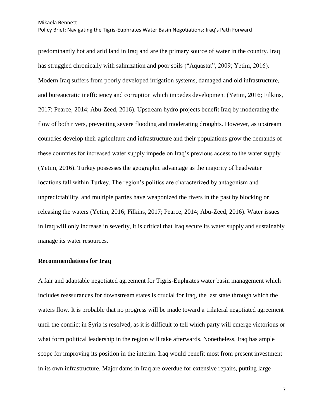predominantly hot and arid land in Iraq and are the primary source of water in the country. Iraq has struggled chronically with salinization and poor soils ("Aquastat", 2009; Yetim, 2016). Modern Iraq suffers from poorly developed irrigation systems, damaged and old infrastructure, and bureaucratic inefficiency and corruption which impedes development (Yetim, 2016; Filkins, 2017; Pearce, 2014; Abu-Zeed, 2016). Upstream hydro projects benefit Iraq by moderating the flow of both rivers, preventing severe flooding and moderating droughts. However, as upstream countries develop their agriculture and infrastructure and their populations grow the demands of these countries for increased water supply impede on Iraq"s previous access to the water supply (Yetim, 2016). Turkey possesses the geographic advantage as the majority of headwater locations fall within Turkey. The region's politics are characterized by antagonism and unpredictability, and multiple parties have weaponized the rivers in the past by blocking or releasing the waters (Yetim, 2016; Filkins, 2017; Pearce, 2014; Abu-Zeed, 2016). Water issues in Iraq will only increase in severity, it is critical that Iraq secure its water supply and sustainably manage its water resources.

# **Recommendations for Iraq**

A fair and adaptable negotiated agreement for Tigris-Euphrates water basin management which includes reassurances for downstream states is crucial for Iraq, the last state through which the waters flow. It is probable that no progress will be made toward a trilateral negotiated agreement until the conflict in Syria is resolved, as it is difficult to tell which party will emerge victorious or what form political leadership in the region will take afterwards. Nonetheless, Iraq has ample scope for improving its position in the interim. Iraq would benefit most from present investment in its own infrastructure. Major dams in Iraq are overdue for extensive repairs, putting large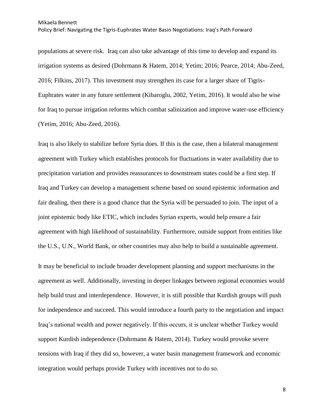populations at severe risk. Iraq can also take advantage of this time to develop and expand its irrigation systems as desired (Dohrmann & Hatem, 2014; Yetim; 2016; Pearce, 2014; Abu-Zeed, 2016; Filkins, 2017). This investment may strengthen its case for a larger share of Tigris-Euphrates water in any future settlement (Kibaroglu, 2002, Yetim, 2016). It would also be wise for Iraq to pursue irrigation reforms which combat salinization and improve water-use efficiency (Yetim, 2016; Abu-Zeed, 2016).

Iraq is also likely to stabilize before Syria does. If this is the case, then a bilateral management agreement with Turkey which establishes protocols for fluctuations in water availability due to precipitation variation and provides reassurances to downstream states could be a first step. If Iraq and Turkey can develop a management scheme based on sound epistemic information and fair dealing, then there is a good chance that the Syria will be persuaded to join. The input of a joint epistemic body like ETIC, which includes Syrian experts, would help ensure a fair agreement with high likelihood of sustainability. Furthermore, outside support from entities like the U.S., U.N., World Bank, or other countries may also help to build a sustainable agreement.

It may be beneficial to include broader development planning and support mechanisms in the agreement as well. Additionally, investing in deeper linkages between regional economies would help build trust and interdependence. However, it is still possible that Kurdish groups will push for independence and succeed. This would introduce a fourth party to the negotiation and impact Iraq"s national wealth and power negatively. If this occurs, it is unclear whether Turkey would support Kurdish independence (Dohrmann & Hatem, 2014). Turkey would provoke severe tensions with Iraq if they did so, however, a water basin management framework and economic integration would perhaps provide Turkey with incentives not to do so.